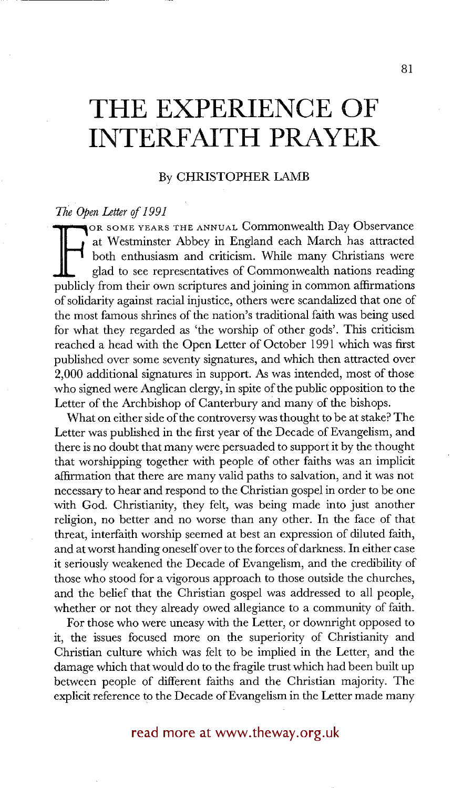# **THE EXPERIENCE OF INTERFAITH PRAYER**

## By CHRISTOPHER LAMB

## *The Open Letter of 1991*

OR SOME YEARS THE ANNUAL Commonwealth Day Observance at Westminster Abbey in England each March has attracted both enthusiasm and criticism. While many Christians were glad to see representatives of Commonwealth nations reading publicly from their own scriptures and joining in common affirmations of solidarity against racial injustice, others were scandalized that one of the most famous shrines of the nation's traditional faith was being used for what they regarded as 'the worship of other gods'. This criticism reached a head with the Open Letter of October 1991 which was first published over some seventy signatures, and which then attracted over 2,000 additional signatures in support. As was intended, most of those who signed were Anglican clergy, in spite of the public opposition to the Letter of the Archbishop of Canterbury and many of the bishops.

What on either side of the controversy was thought to be at stake? The Letter was published in the first year of the Decade of Evangelism, and there is no doubt that many were persuaded to support it by the thought that worshipping together with people of other faiths was an implicit affirmation that there are many valid paths to salvation, and it was not necessary to hear and respond to the Christian gospel in order to be one with God. Christianity, they felt, was being made into just another religion, no better and no worse than any other. In the face of that threat, interfaith worship seemed at best an expression of diluted faith, and at worst handing oneself over to the forces of darkness. In either case it seriously weakened the Decade of Evangelism, and the credibility of those who stood for a vigorous approach to those outside the churches, and the belief that the Christian gospel was addressed to all people, whether or not they already owed allegiance to a community of faith.

For those who were uneasy with the Letter, or downright opposed to it, the issues focused more on the superiority of Christianity and Christian culture which was felt to be implied in the Letter, and the damage which that would do to the fragile trust which had been built up between people of different faiths and the Christian majority. The explicit reference to the Decade of Evangelism in the Letter made many

read more at www.theway.org.uk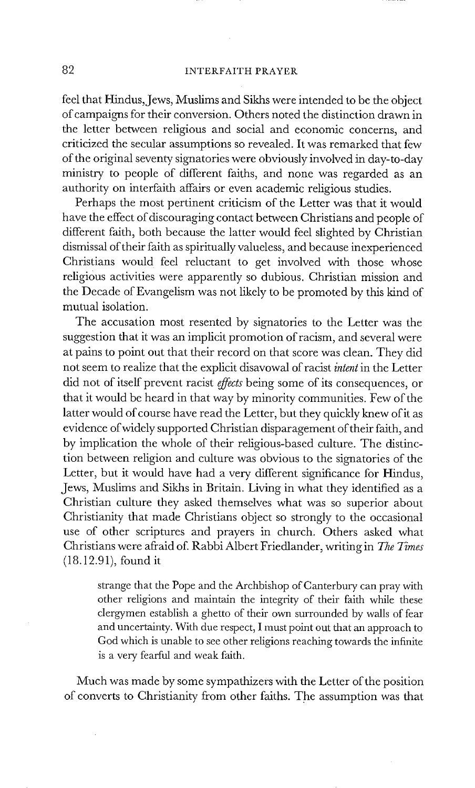feel that Hindus, Jews, Muslims and Sikhs were intended to be the object of campaigns for their conversion. Others noted the distinction drawn in the letter between religious and social and economic concerns, and criticized the secular assumptions so revealed. It was remarked that few of the original seventy signatories were obviously involved in day-to-day ministry to people of different faiths, and none was regarded as an authority on interfaith affairs or even academic religious studies.

Perhaps the most pertinent criticism of the Letter was that it would have the effect of discouraging contact between Christians and people of different faith, both because the latter would feel slighted by Christian dismissal of their faith as spiritually valueless, and because inexperienced Christians would feel reluctant to get involved with those whose religious activities were apparently so dubious. Christian mission and the Decade of Evangelism was not likely to be promoted by this kind of mutual isolation.

The accusation most resented by signatories to the Letter was the suggestion that it was an implicit promotion of racism, and several were at pains to point out that their record on that score was clean. They did not seem to realize that the explicit disavowal of racist *intent* in the Letter did not of itself prevent racist *effects* being some of its consequences, or that it would be heard in that way by minority communities. Few of the latter would of course have read the Letter, but they quickly knew of it as evidence of widely supported Christian disparagement of their faith, and by implication the whole of their religious-based culture. The distinction between religion and culture was obvious to the signatories of the Letter, but it would have had a very different significance for Hindus, Jews, Muslims and Sikhs in Britain. Living in what they identified as a Christian culture they asked themselves what was so superior about Christianity that made Christians object so strongly to the occasional use of other scriptures and prayers in church. Others asked what Christians were afraid of. Rabbi Albert Friedlander, writing in The *Times*  (18.12.91), found it

strange that the Pope and the Archbishop of Canterbury can pray with other religions and maintain the integrity of their faith while these clergymen establish a ghetto of their own surrounded by walls of fear and uncertainty. With due respect, I must point out that an approach to God which is unable to see other religions reaching towards the infinite is a very fearful and weak faith.

Much was made by some sympathizers with the Letter of the position of converts to Christianity from other faiths. The assumption was that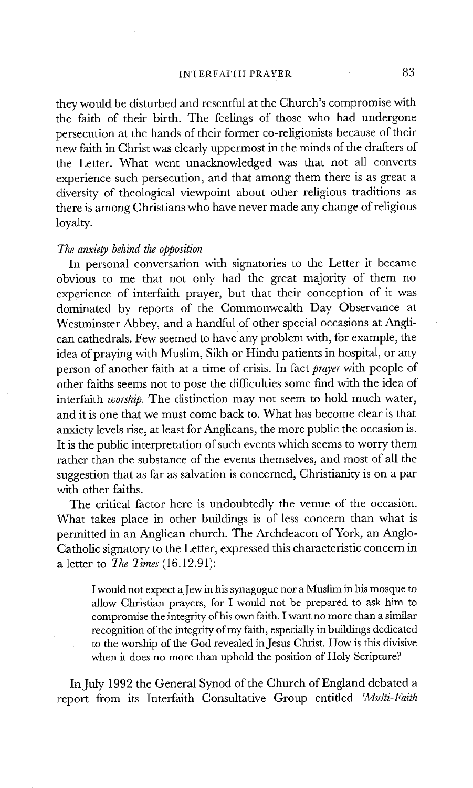they would be disturbed and resentful at the Church's compromise with the faith of their birth. The feelings of those who had undergone persecution at the hands of their former co-religionists because of their new faith in Christ was clearly uppermost in the minds of the drafters of the Letter. What went unacknowledged was that not all converts experience such persecution, and that among them there is as great a diversity of theological viewpoint about other religious traditions as there is among Christians who have never made any change of religious loyalty.

## *The anxiety behind the opposition*

In personal conversation with signatories to the Letter it became obvious to me that not only had the great majority of them no experience of interfaith prayer, but that their conception of it was dominated by reports of the Commonwealth Day Observance at Westminster Abbey, and a handful of other special occasions at Anglican cathedrals. Few seemed to have any problem with, for example, the idea of praying with Muslim, Sikh or Hindu patients in hospital, or any person of another faith at a time of crisis. In fact *prayer* with people of other faiths seems not to pose the difficulties some find with the idea of interfaith *worship.* The distinction may not seem to hold much water, and it is one that we must come back to. What has become clear is that anxiety levels rise, at least for Anglicans, the more public the occasion is. It is the public interpretation of such events which seems to worry them rather than the substance of the events themselves, and most of all the suggestion that as far as salvation is concerned, Christianity is on a par with other faiths.

The critical factor here is undoubtedly the venue of the occasion. What takes place in other buildings is of less concern than what is permitted in an Anglican church. The Archdeacon of York, an Anglo-Catholic signatory to the Letter, expressed this characteristic concern in a letter to The *Times* (16.12.91):

I would not expect aJew in his synagogue nor a Muslim in his mosque to allow Christian prayers, for I would not be prepared to ask him to compromise the integrity of his own faith. I want no more than a similar recognition of the integrity of my faith, especially in buildings dedicated to the worship of the God revealed in Jesus Christ. How is this divisive when it does no more than uphold the position of Holy Scripture?

In July 1992 the General Synod of the Church of England debated a report from its Interfaith Consultative Group entitled *"Multi-Faith*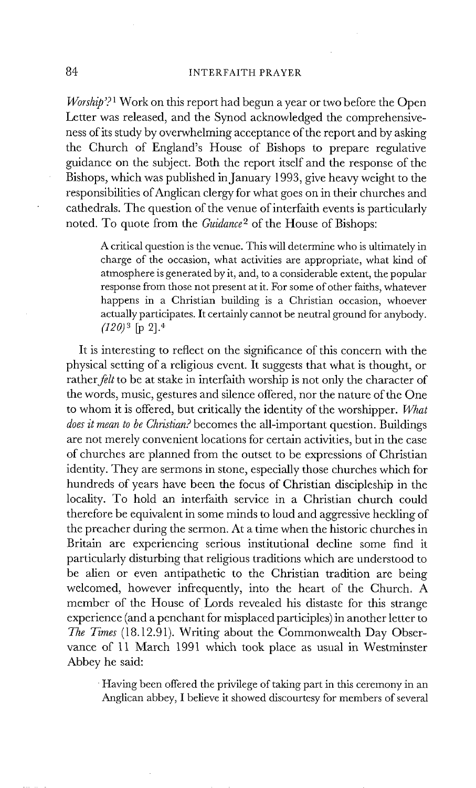*Worship*<sup>221</sup> Work on this report had begun a year or two before the Open Letter was released, and the Synod acknowledged the comprehensiveness of its study by overwhelming acceptance of the report and by asking the Church of England's House of Bishops to prepare regulative guidance on the subject. Both the report itself and the response of the Bishops, which was published in January 1993, give heavy weight to the responsibilities of Anglican clergy for what goes on in their churches and cathedrals. The question of the venue of interfaith events is particularly noted. To quote from the *Guidance 2* of the House of Bishops:

A critical question is the venue. This will determine who is ultimately in charge of the occasion, what activities are appropriate, what kind of atmosphere is generated by it, and, to a considerable extent, the popular response from those not present at it. For some of other faiths, whatever happens in a Christian building is a Christian occasion, whoever actually participates. It certainly cannot be neutral ground for anybody.  $(120)^3$  [p 2].<sup>4</sup>

It is interesting to reflect on the significance of this concern with the physical setting of a religious event. It suggests that what is thought, or rather felt to be at stake in interfaith worship is not only the character of the words, music, gestures and silence offered, nor the nature of the One to whom it is offered, but critically the identity of the worshipper. *What does it mean to be Christian?* becomes the all-important question. Buildings are not merely convenient locations for certain activities, but in the case of churches are planned from the outset to be expressions of Christian identity. They are sermons in stone, especially those churches which for hundreds of years have been the focus of Christian discipleship in the locality. To hold an interfaith service in a Christian church could therefore be equivalent in some minds to loud and aggressive heckling of the preacher during the sermon. At a time when the historic churches in Britain are experiencing serious institutional decline some find it particularly disturbing that religious traditions which are understood to be alien or even antipathetic to the Christian tradition are being welcomed, however infrequently, into the heart of the Church. A member of the House of Lords revealed his distaste for this strange experience (and a penchant for misplaced participles) in another letter to *The Times* (18.12.91). Writing about the Commonwealth Day Observance of 11 March 1991 which took place as usual in Westminster Abbey he said:

Having been offered the privilege of taking part in this ceremony in an Anglican abbey, I believe it showed discourtesy for members of several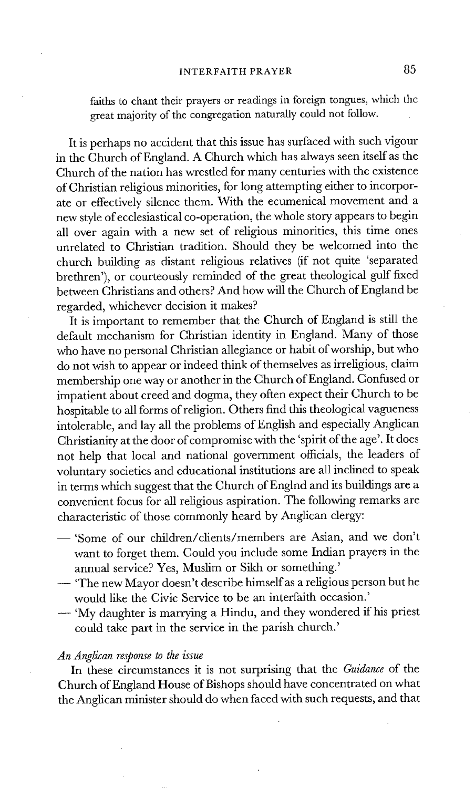faiths to chant their prayers or readings in foreign tongues, which the great majority of the congregation naturally could not follow.

It is perhaps no accident that this issue has surfaced with such vigour in the Church of England. A Church which has always seen itself as the Church of the nation has wrestled for many centuries with the existence of Christian religious minorities, for long attempting either to incorporate or effectively silence them. With the ecumenical movement and a new style of ecclesiastical co-operation, the whole story appears to begin all over again with a new set of religious minorities, this time ones unrelated to Christian tradition. Should they be welcomed into the church building as distant religious relatives (if not quite 'separated brethren'), or courteously reminded of the great theological gulf fixed between Christians and others? And how will the Church of England be regarded, whichever decision it makes?

It is important to remember that the Church of England is still the default mechanism for Christian identity in England. Many of those who have no personal Christian allegiance or habit of worship, but who do not wish to appear or indeed think of themselves as irreligious, claim membership one way or another in the Church of England. Confused or impatient about creed and dogma, they often expect their Church to be hospitable to all forms of religion. Others find this theological vagueness intolerable, and lay all the problems of English and especially Anglican Christianity at the door of compromise with the 'spirit of the age'. It does not help that local and national government officials, the leaders of voluntary societies and educational institutions are all inclined to speak in terms which suggest that the Church of Englnd and its buildings are a convenient focus for all religious aspiration. The following remarks are characteristic of those commonly heard by Anglican clergy:

- **--** 'Some of our children/clients/members are Asian, and we don't want to forget them. Could you include some Indian prayers in the annual service? Yes, Muslim or Sikh or something.'
- 'The new Mayor doesn't describe himself as a religious person but he would like the Civic Service to be an interfaith occasion.'
- **--** 'My daughter is marrying a Hindu, and they wondered if his priest could take part in the service in the parish church.'

### *An Anglican response to the issue*

In these circumstances it is not surprising that the *Guidance* of the Church of England House of Bishops should have concentrated on what the Anglican minister should do when faced with such requests, and that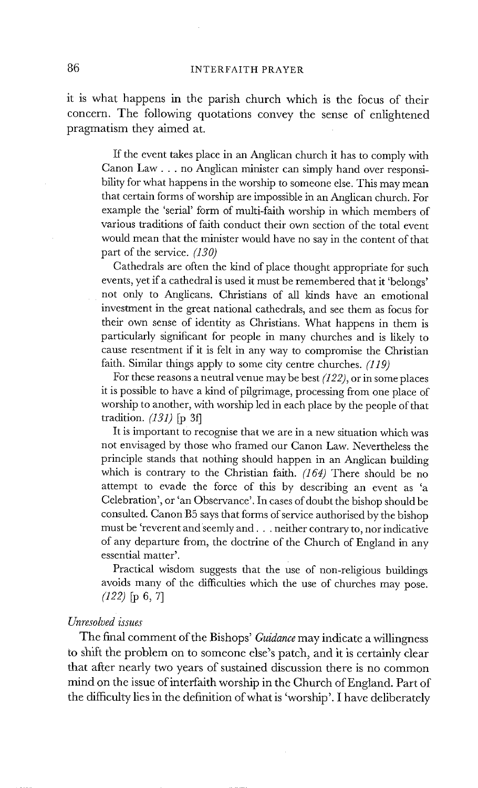it is what happens in the parish church which is the focus of their concern. The following quotations convey the sense of enlightened pragmatism they aimed at.

If the event takes place in an Anglican church it has to comply with Canon Law... no Anglican minister can simply hand over responsibility for what happens in the worship to someone else. This may mean that certain forms of worship are impossible in an Anglican church. For example the 'serial' form of multi-faith worship in which members of various traditions of faith conduct their own section of the total event would mean that the minister would have no say in the content of that part of the service. *(130)* 

Cathedrals are often the kind of place thought appropriate for such events, yet if a cathedral is used it must be remembered that it 'belongs' not only to Anglicans. Christians of all kinds have an emotional investment in the great national cathedrals, and see them as focus for their own sense of identity as Christians. What happens in them is particularly significant for people in many churches and is likely to cause resentment if it is felt in any way to compromise the Christian faith. Similar things apply to some city centre churches. *(119)* 

For these reasons a neutral venue may be best *(122),* or in some places it is possible to have a kind of pilgrimage, processing from one place of worship to another, with worship led in each place by the people of that tradition. *(131) [p 3f]* 

It is important to recognise that we are in a new situation which was not envisaged by those who framed our Canon Law. Nevertheless the principle stands that nothing should happen in an Anglican building which is contrary to the Christian faith. *(164)* There should be no attempt to evade the force of this by describing an event as 'a Celebration', or 'an Observance'. In cases of doubt the bishop should be consulted. Canon B5 says that forms of service authorised by the bishop must be 'reverent and seemly and.., neither contrary to, nor indicative of any departure from, the doctrine of the Church of England in any essential matter'.

Practical wisdom suggests that the use of non-religious buildings avoids many of the difficulties which the use of churches may pose. *(122)* [p 6, 7]

## *Unresolved issues*

The final comment of the Bishops' *Guidance* may indicate a willingness to shift the problem on to someone else's patch, and it is certainly clear that after nearly two years of sustained discussion there is no common mind on the issue of interfaith worship in the Church of England. Part of the difficulty lies in the definition of what is 'worship'. I have deliberately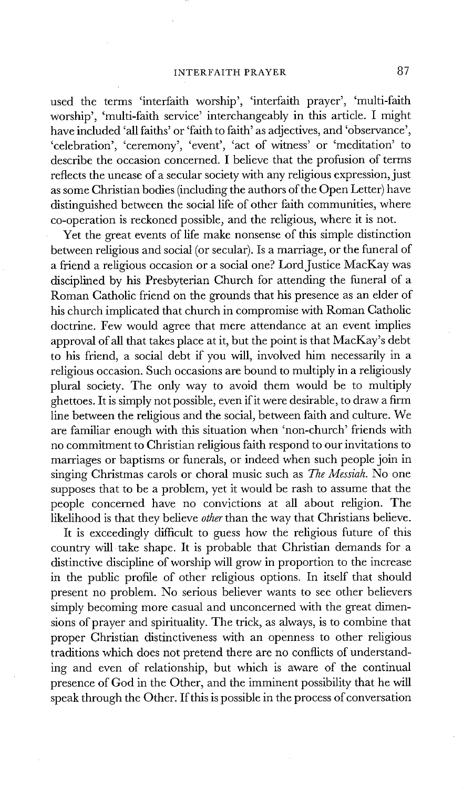used the terms 'interfaith worship', 'interfaith prayer', 'multi-faith worship', 'multi-faith service' interchangeably in this article. I might have included 'all faiths' or 'faith to faith' as adjectives, and 'observance', 'celebration', 'ceremony', 'event', 'act of witness' or 'meditation' to describe the occasion concerned. I believe that the profusion of terms reflects the unease of a secular society with any religious expression, just as some Christian bodies (including the authors of the Open Letter) have distinguished between the social life of other faith communities, where co-operation is reckoned possible, and the religious, where it is not.

Yet the great events of life make nonsense of this simple distinction between religious and social (or secular). Is a marriage, or the funeral of a friend a religious occasion or a social one? Lord Justice MacKay was disciplined by his Presbyterian Church for attending the funeral of a Roman Catholic friend on the grounds that his presence as an elder of his church implicated that church in compromise with Roman Catholic doctrine. Few would agree that mere attendance at an event implies approval of all that takes place at it, but the point is that MacKay's debt to his friend, a social debt if you will, involved him necessarily in a religious occasion. Such occasions are bound to multiply in a religiously plural society. The only way to avoid them would be to multiply ghettoes. It is simply not possible, even if it were desirable, to draw a firm line between the religious and the social, between faith and culture. We are familiar enough with this situation when 'non-church' friends with no commitment to Christian religious faith respond to our invitations to marriages or baptisms or funerals, or indeed when such people join in singing Christmas carols or choral music such as The *Messiah.* No one supposes that to be a problem, yet it would be rash to assume that the people concerned have no convictions at all about religion. The likelihood is that they believe *other* than the way that Christians believe.

It is exceedingly difficult to guess how the religious future of this country will take shape. It is probable that Christian demands for a distinctive discipline of worship will grow in proportion to the increase in the public profile of other religious options. In itself that should present no problem. No serious believer wants to see other believers simply becoming more casual and unconcerned with the great dimensions of prayer and spirituality. The trick, as always, is to combine that proper Christian distinctiveness with an openness to other religious traditions which does not pretend there are no conflicts of understanding and even of relationship, but which is aware of the continual presence of God in the Other, and the imminent possibility that he will speak through the Other. If this is possible in the process of conversation